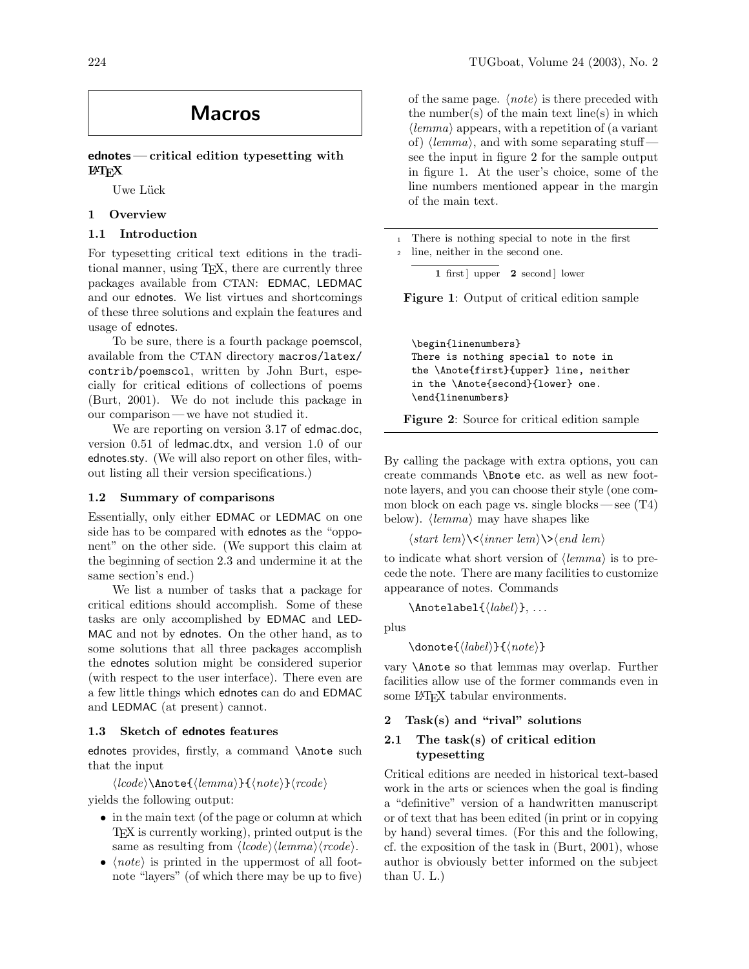# Macros

# ednotes— critical edition typesetting with LATEX

Uwe Lück

# 1 Overview

# 1.1 Introduction

For typesetting critical text editions in the traditional manner, using TEX, there are currently three packages available from CTAN: EDMAC, LEDMAC and our ednotes. We list virtues and shortcomings of these three solutions and explain the features and usage of ednotes.

To be sure, there is a fourth package poemscol, available from the CTAN directory macros/latex/ contrib/poemscol, written by John Burt, especially for critical editions of collections of poems (Burt, 2001). We do not include this package in our comparison— we have not studied it.

We are reporting on version 3.17 of edmac.doc, version 0.51 of ledmac.dtx, and version 1.0 of our ednotes.sty. (We will also report on other files, without listing all their version specifications.)

### 1.2 Summary of comparisons

Essentially, only either EDMAC or LEDMAC on one side has to be compared with ednotes as the "opponent" on the other side. (We support this claim at the beginning of section 2.3 and undermine it at the same section's end.)

We list a number of tasks that a package for critical editions should accomplish. Some of these tasks are only accomplished by EDMAC and LED-MAC and not by ednotes. On the other hand, as to some solutions that all three packages accomplish the ednotes solution might be considered superior (with respect to the user interface). There even are a few little things which ednotes can do and EDMAC and LEDMAC (at present) cannot.

### 1.3 Sketch of ednotes features

ednotes provides, firstly, a command \Anote such that the input

 $\langle \text{lcode} \rangle$ \Anote{ $\langle \text{lemma} \rangle$ }{ $\langle \text{note} \rangle$ } $\langle \text{rode} \rangle$ 

yields the following output:

- in the main text (of the page or column at which TEX is currently working), printed output is the same as resulting from  $\langle \textit{lcode} \rangle \langle \textit{lemma} \rangle \langle \textit{rcode} \rangle$ .
- $\langle note \rangle$  is printed in the uppermost of all footnote "layers" (of which there may be up to five)

of the same page.  $\langle note \rangle$  is there preceded with the number(s) of the main text line(s) in which  $\langle lemma \rangle$  appears, with a repetition of (a variant of)  $\langle lemma \rangle$ , and with some separating stuff see the input in figure 2 for the sample output in figure 1. At the user's choice, some of the line numbers mentioned appear in the margin of the main text.

<sup>1</sup> There is nothing special to note in the first

<sup>2</sup> line, neither in the second one.

1 first | upper  $2$  second | lower

Figure 1: Output of critical edition sample

\begin{linenumbers} There is nothing special to note in the \Anote{first}{upper} line, neither in the \Anote{second}{lower} one. \end{linenumbers}

Figure 2: Source for critical edition sample

By calling the package with extra options, you can create commands \Bnote etc. as well as new footnote layers, and you can choose their style (one common block on each page vs. single blocks — see  $(T4)$ below).  $\langle lemma \rangle$  may have shapes like

 $\langle start \, lem \rangle \langle \langle inner \, lem \rangle \rangle \langle end \, lem \rangle$ 

to indicate what short version of  $\langle lemma \rangle$  is to precede the note. There are many facilities to customize appearance of notes. Commands

 $\Lambda$ notelabel{ $\langle label \rangle$ }, ...

plus

 $\domote{\langle label\rangle}{\langle note\rangle}$ 

vary \Anote so that lemmas may overlap. Further facilities allow use of the former commands even in some L<sup>AT</sup>FX tabular environments.

# 2 Task(s) and "rival" solutions

# 2.1 The task(s) of critical edition typesetting

Critical editions are needed in historical text-based work in the arts or sciences when the goal is finding a "definitive" version of a handwritten manuscript or of text that has been edited (in print or in copying by hand) several times. (For this and the following, cf. the exposition of the task in (Burt, 2001), whose author is obviously better informed on the subject than U. L.)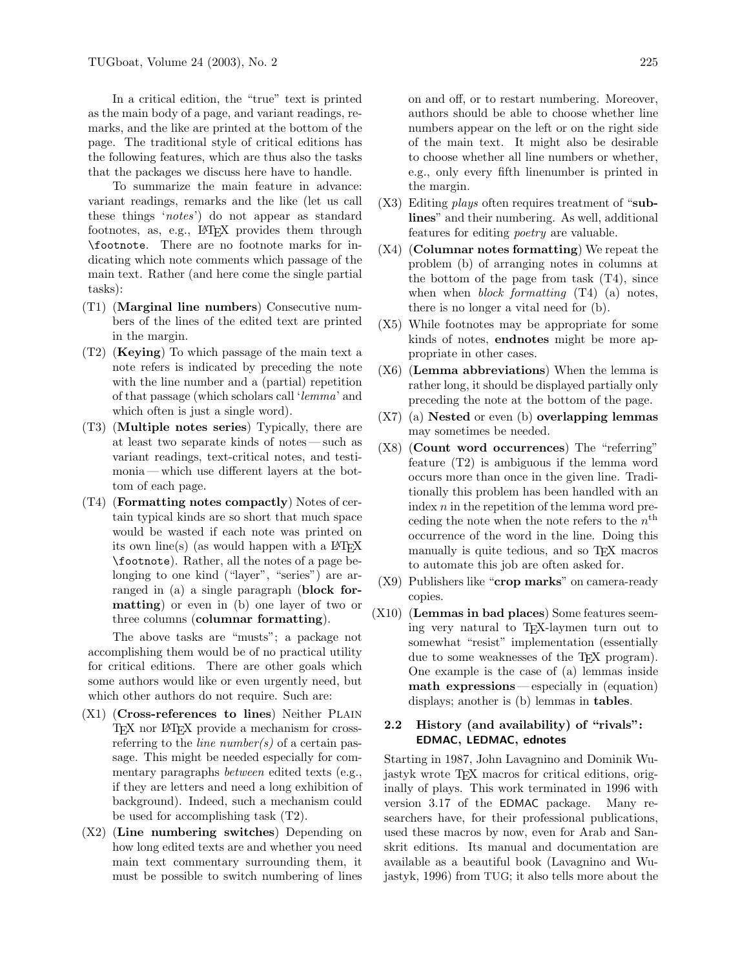In a critical edition, the "true" text is printed as the main body of a page, and variant readings, remarks, and the like are printed at the bottom of the page. The traditional style of critical editions has the following features, which are thus also the tasks that the packages we discuss here have to handle.

To summarize the main feature in advance: variant readings, remarks and the like (let us call these things 'notes') do not appear as standard footnotes, as, e.g., LAT<sub>F</sub>X provides them through \footnote. There are no footnote marks for indicating which note comments which passage of the main text. Rather (and here come the single partial tasks):

- (T1) (Marginal line numbers) Consecutive numbers of the lines of the edited text are printed in the margin.
- (T2) (Keying) To which passage of the main text a note refers is indicated by preceding the note with the line number and a (partial) repetition of that passage (which scholars call 'lemma' and which often is just a single word).
- (T3) (Multiple notes series) Typically, there are at least two separate kinds of notes — such as variant readings, text-critical notes, and testimonia— which use different layers at the bottom of each page.
- (T4) (Formatting notes compactly) Notes of certain typical kinds are so short that much space would be wasted if each note was printed on its own line(s) (as would happen with a  $\text{LATEX}$ \footnote). Rather, all the notes of a page belonging to one kind ("layer", "series") are arranged in (a) a single paragraph (block formatting) or even in (b) one layer of two or three columns (columnar formatting).

The above tasks are "musts"; a package not accomplishing them would be of no practical utility for critical editions. There are other goals which some authors would like or even urgently need, but which other authors do not require. Such are:

- (X1) (Cross-references to lines) Neither PLAIN TEX nor IATEX provide a mechanism for crossreferring to the *line number(s)* of a certain passage. This might be needed especially for commentary paragraphs between edited texts (e.g., if they are letters and need a long exhibition of background). Indeed, such a mechanism could be used for accomplishing task (T2).
- (X2) (Line numbering switches) Depending on how long edited texts are and whether you need main text commentary surrounding them, it must be possible to switch numbering of lines

on and off, or to restart numbering. Moreover, authors should be able to choose whether line numbers appear on the left or on the right side of the main text. It might also be desirable to choose whether all line numbers or whether, e.g., only every fifth linenumber is printed in the margin.

- $(X3)$  Editing *plays* often requires treatment of "sublines" and their numbering. As well, additional features for editing poetry are valuable.
- (X4) (Columnar notes formatting) We repeat the problem (b) of arranging notes in columns at the bottom of the page from task (T4), since when when *block formatting*  $(T4)$  (a) notes, there is no longer a vital need for (b).
- (X5) While footnotes may be appropriate for some kinds of notes, endnotes might be more appropriate in other cases.
- (X6) (Lemma abbreviations) When the lemma is rather long, it should be displayed partially only preceding the note at the bottom of the page.
- $(X7)$  (a) Nested or even (b) overlapping lemmas may sometimes be needed.
- (X8) (Count word occurrences) The "referring" feature (T2) is ambiguous if the lemma word occurs more than once in the given line. Traditionally this problem has been handled with an index  $n$  in the repetition of the lemma word preceding the note when the note refers to the  $n<sup>th</sup>$ occurrence of the word in the line. Doing this manually is quite tedious, and so TEX macros to automate this job are often asked for.
- $(X9)$  Publishers like "**crop marks**" on camera-ready copies.
- (X10) (Lemmas in bad places) Some features seeming very natural to TEX-laymen turn out to somewhat "resist" implementation (essentially due to some weaknesses of the T<sub>EX</sub> program). One example is the case of (a) lemmas inside math expressions— especially in (equation) displays; another is (b) lemmas in tables.

# 2.2 History (and availability) of "rivals": EDMAC, LEDMAC, ednotes

Starting in 1987, John Lavagnino and Dominik Wujastyk wrote TEX macros for critical editions, originally of plays. This work terminated in 1996 with version 3.17 of the EDMAC package. Many researchers have, for their professional publications, used these macros by now, even for Arab and Sanskrit editions. Its manual and documentation are available as a beautiful book (Lavagnino and Wujastyk, 1996) from TUG; it also tells more about the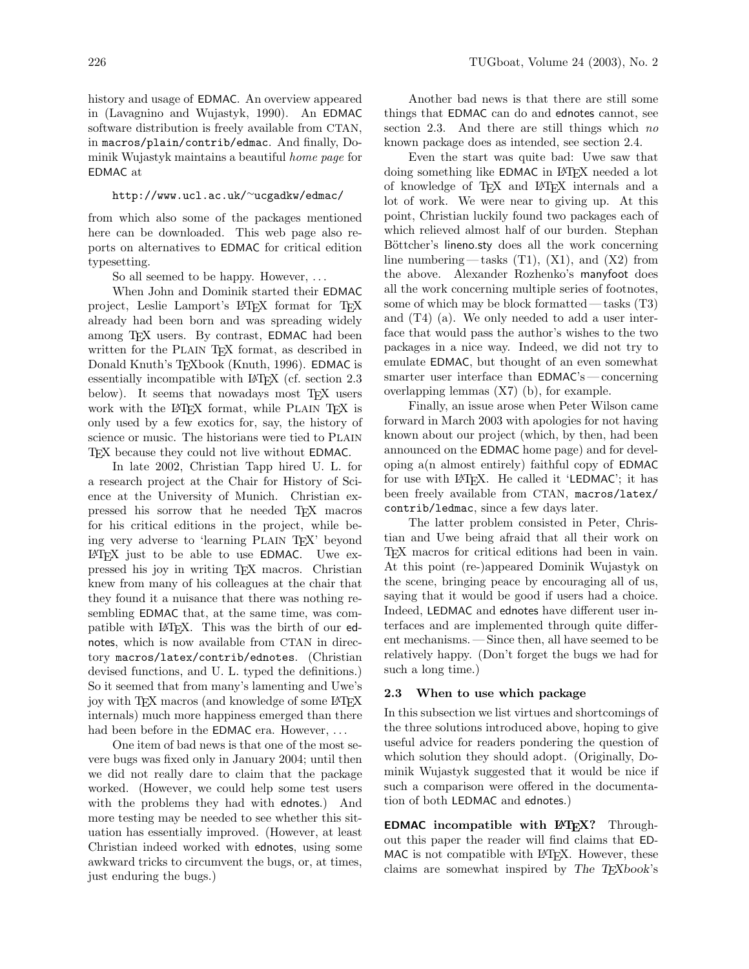#### http://www.ucl.ac.uk/<sup>∼</sup>ucgadkw/edmac/

from which also some of the packages mentioned here can be downloaded. This web page also reports on alternatives to EDMAC for critical edition typesetting.

So all seemed to be happy. However, ...

When John and Dominik started their EDMAC project, Leslie Lamport's LATEX format for TEX already had been born and was spreading widely among T<sub>F</sub>X users. By contrast, **EDMAC** had been written for the PLAIN TEX format, as described in Donald Knuth's T<sub>E</sub>Xbook (Knuth, 1996). EDMAC is essentially incompatible with LAT<sub>EX</sub> (cf. section 2.3) below). It seems that nowadays most T<sub>EX</sub> users work with the LATEX format, while PLAIN TEX is only used by a few exotics for, say, the history of science or music. The historians were tied to PLAIN TEX because they could not live without EDMAC.

In late 2002, Christian Tapp hired U. L. for a research project at the Chair for History of Science at the University of Munich. Christian expressed his sorrow that he needed TEX macros for his critical editions in the project, while being very adverse to 'learning PLAIN TEX' beyond LATEX just to be able to use EDMAC. Uwe expressed his joy in writing TEX macros. Christian knew from many of his colleagues at the chair that they found it a nuisance that there was nothing resembling EDMAC that, at the same time, was compatible with LAT<sub>EX</sub>. This was the birth of our ednotes, which is now available from CTAN in directory macros/latex/contrib/ednotes. (Christian devised functions, and U. L. typed the definitions.) So it seemed that from many's lamenting and Uwe's joy with TEX macros (and knowledge of some LATEX internals) much more happiness emerged than there had been before in the **EDMAC** era. However, ...

One item of bad news is that one of the most severe bugs was fixed only in January 2004; until then we did not really dare to claim that the package worked. (However, we could help some test users with the problems they had with ednotes.) And more testing may be needed to see whether this situation has essentially improved. (However, at least Christian indeed worked with ednotes, using some awkward tricks to circumvent the bugs, or, at times, just enduring the bugs.)

Another bad news is that there are still some things that EDMAC can do and ednotes cannot, see section 2.3. And there are still things which no known package does as intended, see section 2.4.

Even the start was quite bad: Uwe saw that doing something like **EDMAC** in LAT<sub>F</sub>X needed a lot of knowledge of TEX and LATEX internals and a lot of work. We were near to giving up. At this point, Christian luckily found two packages each of which relieved almost half of our burden. Stephan Böttcher's lineno.sty does all the work concerning line numbering — tasks  $(T1)$ ,  $(X1)$ , and  $(X2)$  from the above. Alexander Rozhenko's manyfoot does all the work concerning multiple series of footnotes, some of which may be block formatted— tasks (T3) and (T4) (a). We only needed to add a user interface that would pass the author's wishes to the two packages in a nice way. Indeed, we did not try to emulate EDMAC, but thought of an even somewhat smarter user interface than EDMAC's — concerning overlapping lemmas (X7) (b), for example.

Finally, an issue arose when Peter Wilson came forward in March 2003 with apologies for not having known about our project (which, by then, had been announced on the EDMAC home page) and for developing a(n almost entirely) faithful copy of EDMAC for use with LAT<sub>F</sub>X. He called it 'LEDMAC'; it has been freely available from CTAN, macros/latex/ contrib/ledmac, since a few days later.

The latter problem consisted in Peter, Christian and Uwe being afraid that all their work on TEX macros for critical editions had been in vain. At this point (re-)appeared Dominik Wujastyk on the scene, bringing peace by encouraging all of us, saying that it would be good if users had a choice. Indeed, LEDMAC and ednotes have different user interfaces and are implemented through quite different mechanisms.— Since then, all have seemed to be relatively happy. (Don't forget the bugs we had for such a long time.)

### 2.3 When to use which package

In this subsection we list virtues and shortcomings of the three solutions introduced above, hoping to give useful advice for readers pondering the question of which solution they should adopt. (Originally, Dominik Wujastyk suggested that it would be nice if such a comparison were offered in the documentation of both LEDMAC and ednotes.)

**EDMAC** incompatible with  $\text{IFT}$ <sub>EX</sub>? Throughout this paper the reader will find claims that ED-MAC is not compatible with LATEX. However, these claims are somewhat inspired by The TEXbook's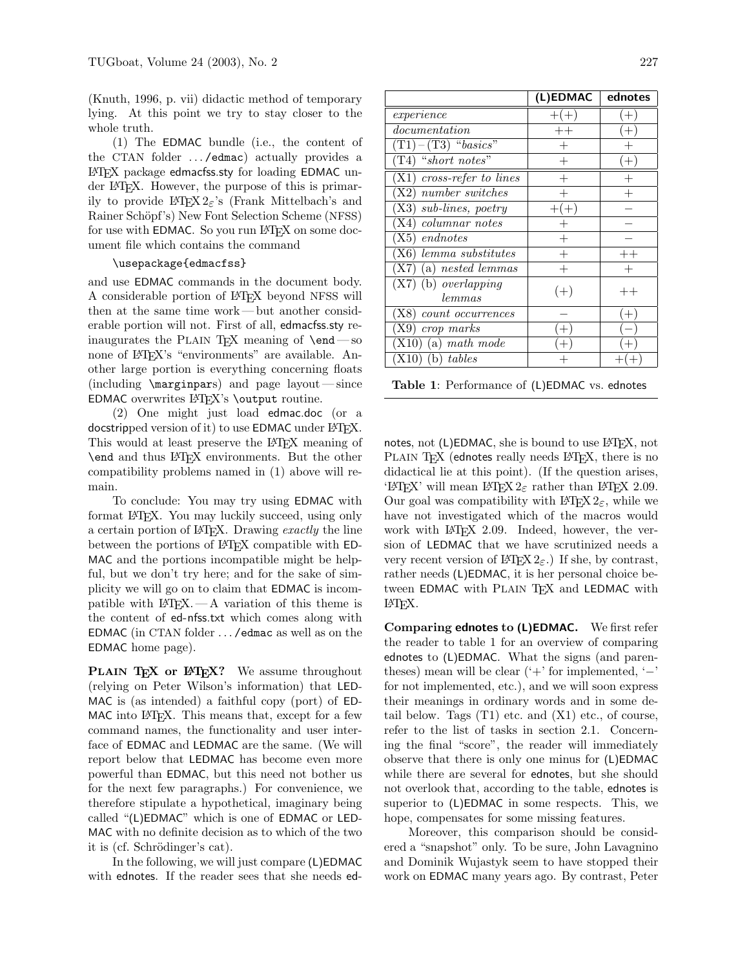(Knuth, 1996, p. vii) didactic method of temporary lying. At this point we try to stay closer to the whole truth.

(1) The EDMAC bundle (i.e., the content of the CTAN folder ... / edmac) actually provides a LATEX package edmacfss.sty for loading EDMAC under LATEX. However, the purpose of this is primarily to provide LAT<sub>E</sub>X 2<sub>ε</sub>'s (Frank Mittelbach's and Rainer Schöpf's) New Font Selection Scheme (NFSS) for use with EDMAC. So you run LAT<sub>F</sub>X on some document file which contains the command

#### \usepackage{edmacfss}

and use EDMAC commands in the document body. A considerable portion of LATEX beyond NFSS will then at the same time work — but another considerable portion will not. First of all, edmacfss.sty reinaugurates the PLAIN T<sub>E</sub>X meaning of  $\end{math}$ none of LAT<sub>EX</sub>'s "environments" are available. Another large portion is everything concerning floats (including  $\m{marginpars}$ ) and page layout — since EDMAC overwrites  $\mathbb{F}X$ 's \output routine.

(2) One might just load edmac.doc (or a docstripped version of it) to use EDMAC under LATEX. This would at least preserve the LATEX meaning of \end and thus LATEX environments. But the other compatibility problems named in (1) above will remain.

To conclude: You may try using EDMAC with format LATEX. You may luckily succeed, using only a certain portion of LATEX. Drawing exactly the line between the portions of LATEX compatible with ED-MAC and the portions incompatible might be helpful, but we don't try here; and for the sake of simplicity we will go on to claim that EDMAC is incompatible with  $\angle MFX. - A$  variation of this theme is the content of ed-nfss.txt which comes along with EDMAC (in CTAN folder . . . /edmac as well as on the EDMAC home page).

PLAIN TEX or L<sup>AT</sup>EX? We assume throughout (relying on Peter Wilson's information) that LED-MAC is (as intended) a faithful copy (port) of ED-MAC into LAT<sub>F</sub>X. This means that, except for a few command names, the functionality and user interface of EDMAC and LEDMAC are the same. (We will report below that LEDMAC has become even more powerful than EDMAC, but this need not bother us for the next few paragraphs.) For convenience, we therefore stipulate a hypothetical, imaginary being called "(L)EDMAC" which is one of EDMAC or LED-MAC with no definite decision as to which of the two it is (cf. Schrödinger's cat).

In the following, we will just compare (L)EDMAC with ednotes. If the reader sees that she needs ed-

|                                          | (L)EDMAC | ednotes |
|------------------------------------------|----------|---------|
| experience                               | $+(+$    | $+$     |
| documentation                            | $++$     | $^{+}$  |
| $(T1)-(T3)$ "basics"                     | $^{+}$   |         |
| $(T4)$ "short notes"                     | $^{+}$   | $^{+}$  |
| $(X1)$ cross-refer to lines              | $^{+}$   |         |
| (X2) number switches                     |          |         |
| (X3) sub-lines, poetry                   |          |         |
| (X4) columnar notes                      |          |         |
| endnotes<br>X5)                          | $^{+}$   |         |
| (X6) lemma substitutes                   | $^{+}$   | $++$    |
| (a) nested lemmas<br>(X7)                | $^{+}$   | $^{+}$  |
| (b) <i>overlapping</i><br>(X7)<br>lemmas | $(+)$    | $++$    |
|                                          |          |         |
| $count\ occurrences$<br>[X8]             |          |         |
| crop marks<br>X9)                        |          |         |
| $(X10)$ (a) math mode                    |          |         |
| $(b)$ tables<br>(X10)                    |          |         |
|                                          |          |         |

| Table 1: Performance of (L)EDMAC vs. ednotes |  |  |  |  |
|----------------------------------------------|--|--|--|--|
|----------------------------------------------|--|--|--|--|

notes, not (L)EDMAC, she is bound to use L<sup>AT</sup>EX, not PLAIN TFX (ednotes really needs LATFX, there is no didactical lie at this point). (If the question arises, 'LATEX' will mean LATEX  $2\varepsilon$  rather than LATEX 2.09. Our goal was compatibility with  $\text{MTEX} 2_{\epsilon}$ , while we have not investigated which of the macros would work with LATEX 2.09. Indeed, however, the version of LEDMAC that we have scrutinized needs a very recent version of  $\mathbb{A}T\mathbb{F}X 2_{\varepsilon}$ . If she, by contrast, rather needs (L)EDMAC, it is her personal choice between EDMAC with PLAIN TFX and LEDMAC with LATEX.

Comparing ednotes to (L)EDMAC. We first refer the reader to table 1 for an overview of comparing ednotes to (L)EDMAC. What the signs (and parentheses) mean will be clear  $($ <sup>'+</sup>' for implemented,  $'$ −' for not implemented, etc.), and we will soon express their meanings in ordinary words and in some detail below. Tags  $(T1)$  etc. and  $(X1)$  etc., of course, refer to the list of tasks in section 2.1. Concerning the final "score", the reader will immediately observe that there is only one minus for (L)EDMAC while there are several for ednotes, but she should not overlook that, according to the table, ednotes is superior to (L)EDMAC in some respects. This, we hope, compensates for some missing features.

Moreover, this comparison should be considered a "snapshot" only. To be sure, John Lavagnino and Dominik Wujastyk seem to have stopped their work on EDMAC many years ago. By contrast, Peter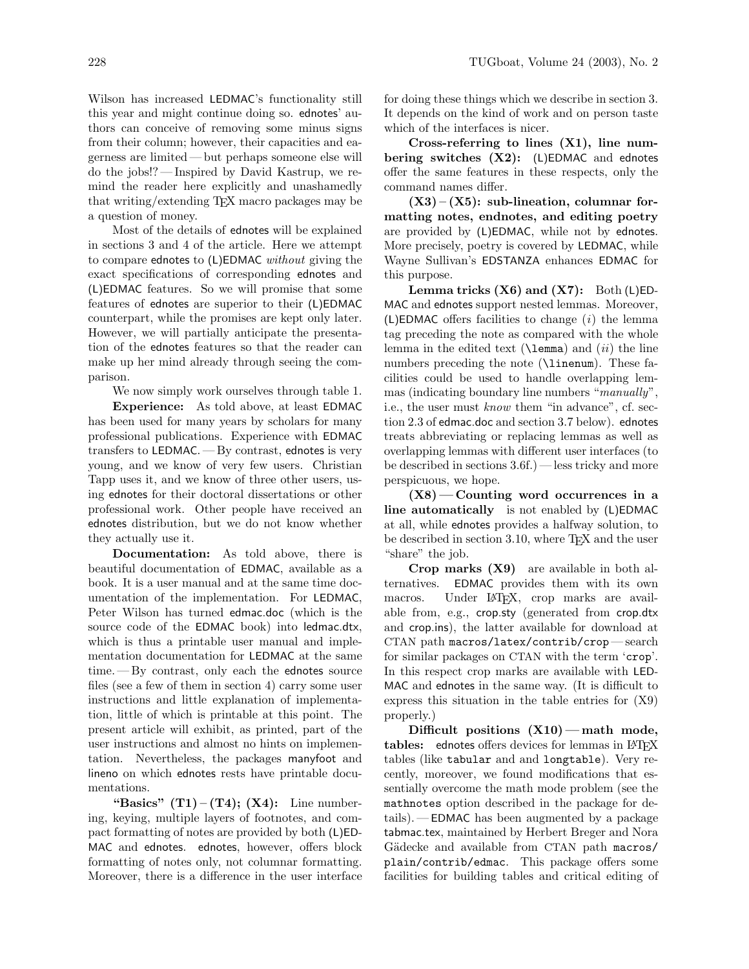Wilson has increased LEDMAC's functionality still this year and might continue doing so. ednotes' authors can conceive of removing some minus signs from their column; however, their capacities and eagerness are limited— but perhaps someone else will do the jobs!? — Inspired by David Kastrup, we remind the reader here explicitly and unashamedly that writing/extending TEX macro packages may be a question of money.

Most of the details of ednotes will be explained in sections 3 and 4 of the article. Here we attempt to compare ednotes to (L)EDMAC without giving the exact specifications of corresponding ednotes and (L)EDMAC features. So we will promise that some features of ednotes are superior to their (L)EDMAC counterpart, while the promises are kept only later. However, we will partially anticipate the presentation of the ednotes features so that the reader can make up her mind already through seeing the comparison.

We now simply work ourselves through table 1.

Experience: As told above, at least EDMAC has been used for many years by scholars for many professional publications. Experience with EDMAC transfers to LEDMAC.— By contrast, ednotes is very young, and we know of very few users. Christian Tapp uses it, and we know of three other users, using ednotes for their doctoral dissertations or other professional work. Other people have received an ednotes distribution, but we do not know whether they actually use it.

Documentation: As told above, there is beautiful documentation of EDMAC, available as a book. It is a user manual and at the same time documentation of the implementation. For LEDMAC, Peter Wilson has turned edmac.doc (which is the source code of the EDMAC book) into ledmac.dtx, which is thus a printable user manual and implementation documentation for LEDMAC at the same time. — By contrast, only each the ednotes source files (see a few of them in section 4) carry some user instructions and little explanation of implementation, little of which is printable at this point. The present article will exhibit, as printed, part of the user instructions and almost no hints on implementation. Nevertheless, the packages manyfoot and lineno on which ednotes rests have printable documentations.

"Basics"  $(T1) - (T4)$ ;  $(X4)$ : Line numbering, keying, multiple layers of footnotes, and compact formatting of notes are provided by both (L)ED-MAC and ednotes. ednotes, however, offers block formatting of notes only, not columnar formatting. Moreover, there is a difference in the user interface for doing these things which we describe in section 3. It depends on the kind of work and on person taste which of the interfaces is nicer.

Cross-referring to lines (X1), line numbering switches  $(X2)$ : (L)EDMAC and ednotes offer the same features in these respects, only the command names differ.

 $(X3) - (X5)$ : sub-lineation, columnar formatting notes, endnotes, and editing poetry are provided by (L)EDMAC, while not by ednotes. More precisely, poetry is covered by LEDMAC, while Wayne Sullivan's EDSTANZA enhances EDMAC for this purpose.

Lemma tricks  $(X6)$  and  $(X7)$ : Both  $(L)ED-$ MAC and ednotes support nested lemmas. Moreover, (L)EDMAC offers facilities to change  $(i)$  the lemma tag preceding the note as compared with the whole lemma in the edited text ( $\lambda$ emma) and  $(ii)$  the line numbers preceding the note (\linenum). These facilities could be used to handle overlapping lemmas (indicating boundary line numbers "manually", i.e., the user must know them "in advance", cf. section 2.3 of edmac.doc and section 3.7 below). ednotes treats abbreviating or replacing lemmas as well as overlapping lemmas with different user interfaces (to be described in sections 3.6f.)— less tricky and more perspicuous, we hope.

 $(X8)$ — Counting word occurrences in a line automatically is not enabled by (L)EDMAC at all, while ednotes provides a halfway solution, to be described in section 3.10, where T<sub>E</sub>X and the user "share" the job.

Crop marks (X9) are available in both alternatives. EDMAC provides them with its own macros. Under LAT<sub>EX</sub>, crop marks are available from, e.g., crop.sty (generated from crop.dtx and crop.ins), the latter available for download at CTAN path macros/latex/contrib/crop — search for similar packages on CTAN with the term 'crop'. In this respect crop marks are available with LED-MAC and ednotes in the same way. (It is difficult to express this situation in the table entries for (X9) properly.)

Difficult positions  $(X10)$  — math mode, tables: ednotes offers devices for lemmas in LATEX tables (like tabular and and longtable). Very recently, moreover, we found modifications that essentially overcome the math mode problem (see the mathnotes option described in the package for details).— EDMAC has been augmented by a package tabmac.tex, maintained by Herbert Breger and Nora Gädecke and available from CTAN path macros/ plain/contrib/edmac. This package offers some facilities for building tables and critical editing of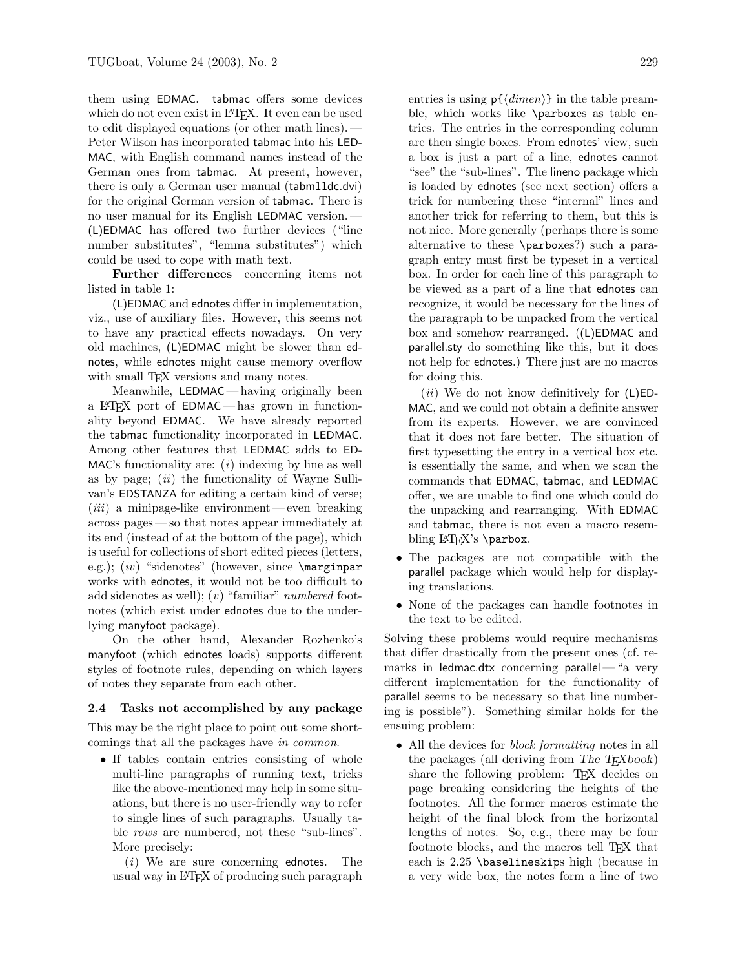them using EDMAC. tabmac offers some devices which do not even exist in LAT<sub>EX</sub>. It even can be used to edit displayed equations (or other math lines).— Peter Wilson has incorporated tabmac into his LED-MAC, with English command names instead of the German ones from tabmac. At present, however, there is only a German user manual (tabm11dc.dvi) for the original German version of tabmac. There is no user manual for its English LEDMAC version.— (L)EDMAC has offered two further devices ("line number substitutes", "lemma substitutes") which could be used to cope with math text.

Further differences concerning items not listed in table 1:

(L)EDMAC and ednotes differ in implementation, viz., use of auxiliary files. However, this seems not to have any practical effects nowadays. On very old machines, (L)EDMAC might be slower than ednotes, while ednotes might cause memory overflow with small TEX versions and many notes.

Meanwhile, LEDMAC— having originally been a LATEX port of EDMAC— has grown in functionality beyond EDMAC. We have already reported the tabmac functionality incorporated in LEDMAC. Among other features that LEDMAC adds to ED-MAC's functionality are:  $(i)$  indexing by line as well as by page;  $(ii)$  the functionality of Wayne Sullivan's EDSTANZA for editing a certain kind of verse;  $(iii)$  a minipage-like environment — even breaking across pages — so that notes appear immediately at its end (instead of at the bottom of the page), which is useful for collections of short edited pieces (letters, e.g.);  $(iv)$  "sidenotes" (however, since  $\text{marginpar}$ works with ednotes, it would not be too difficult to add sidenotes as well); (v) "familiar" numbered footnotes (which exist under ednotes due to the underlying manyfoot package).

On the other hand, Alexander Rozhenko's manyfoot (which ednotes loads) supports different styles of footnote rules, depending on which layers of notes they separate from each other.

#### 2.4 Tasks not accomplished by any package

This may be the right place to point out some shortcomings that all the packages have in common.

• If tables contain entries consisting of whole multi-line paragraphs of running text, tricks like the above-mentioned may help in some situations, but there is no user-friendly way to refer to single lines of such paragraphs. Usually table rows are numbered, not these "sub-lines". More precisely:

 $(i)$  We are sure concerning ednotes. The usual way in LATEX of producing such paragraph

entries is using  $p\{\langle dimen\rangle\}$  in the table preamble, which works like \parboxes as table entries. The entries in the corresponding column are then single boxes. From ednotes' view, such a box is just a part of a line, ednotes cannot "see" the "sub-lines". The lineno package which is loaded by ednotes (see next section) offers a trick for numbering these "internal" lines and another trick for referring to them, but this is not nice. More generally (perhaps there is some alternative to these \parboxes?) such a paragraph entry must first be typeset in a vertical box. In order for each line of this paragraph to be viewed as a part of a line that ednotes can recognize, it would be necessary for the lines of the paragraph to be unpacked from the vertical box and somehow rearranged. ((L)EDMAC and parallel.sty do something like this, but it does not help for ednotes.) There just are no macros for doing this.

(*ii*) We do not know definitively for  $(L)ED-$ MAC, and we could not obtain a definite answer from its experts. However, we are convinced that it does not fare better. The situation of first typesetting the entry in a vertical box etc. is essentially the same, and when we scan the commands that EDMAC, tabmac, and LEDMAC offer, we are unable to find one which could do the unpacking and rearranging. With EDMAC and tabmac, there is not even a macro resembling LAT<sub>EX</sub>'s \parbox.

- The packages are not compatible with the parallel package which would help for displaying translations.
- None of the packages can handle footnotes in the text to be edited.

Solving these problems would require mechanisms that differ drastically from the present ones (cf. remarks in ledmac.dtx concerning parallel— "a very different implementation for the functionality of parallel seems to be necessary so that line numbering is possible"). Something similar holds for the ensuing problem:

• All the devices for *block formatting* notes in all the packages (all deriving from The  $T_{F}Xbook$ ) share the following problem: T<sub>EX</sub> decides on page breaking considering the heights of the footnotes. All the former macros estimate the height of the final block from the horizontal lengths of notes. So, e.g., there may be four footnote blocks, and the macros tell TEX that each is 2.25 \baselineskips high (because in a very wide box, the notes form a line of two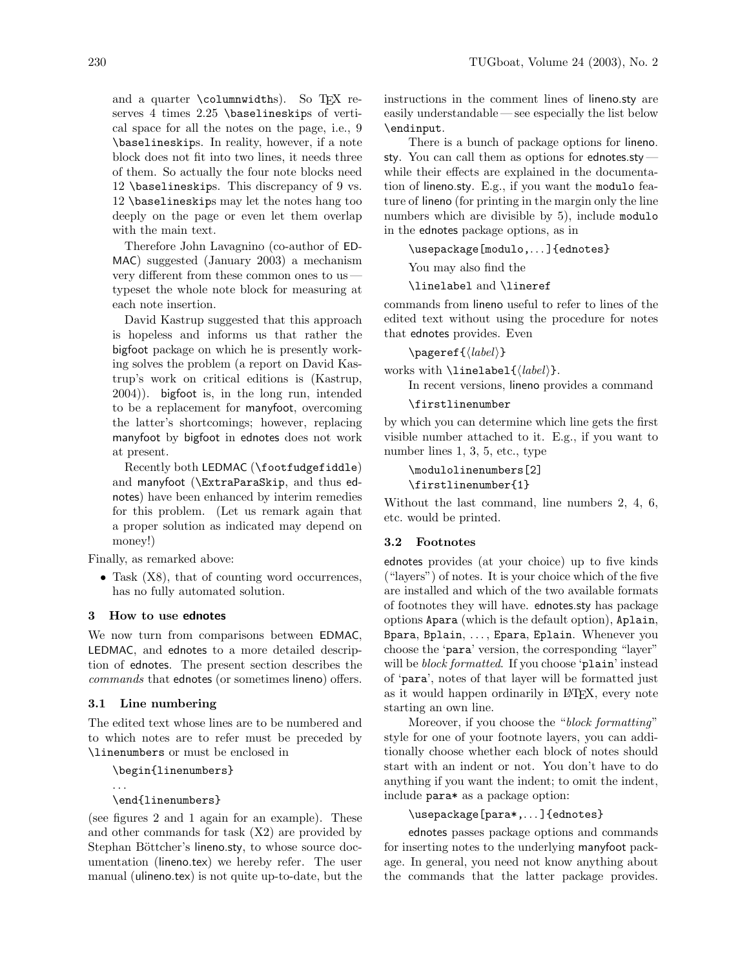and a quarter  $\columnwidths$ . So TFX reserves 4 times 2.25 \baselineskips of vertical space for all the notes on the page, i.e., 9 \baselineskips. In reality, however, if a note block does not fit into two lines, it needs three of them. So actually the four note blocks need 12 \baselineskips. This discrepancy of 9 vs. 12 \baselineskips may let the notes hang too deeply on the page or even let them overlap with the main text.

Therefore John Lavagnino (co-author of ED-MAC) suggested (January 2003) a mechanism very different from these common ones to us typeset the whole note block for measuring at each note insertion.

David Kastrup suggested that this approach is hopeless and informs us that rather the bigfoot package on which he is presently working solves the problem (a report on David Kastrup's work on critical editions is (Kastrup, 2004)). bigfoot is, in the long run, intended to be a replacement for manyfoot, overcoming the latter's shortcomings; however, replacing manyfoot by bigfoot in ednotes does not work at present.

Recently both LEDMAC (\footfudgefiddle) and manyfoot (\ExtraParaSkip, and thus ednotes) have been enhanced by interim remedies for this problem. (Let us remark again that a proper solution as indicated may depend on money!)

Finally, as remarked above:

• Task  $(X8)$ , that of counting word occurrences, has no fully automated solution.

### 3 How to use ednotes

We now turn from comparisons between EDMAC, LEDMAC, and ednotes to a more detailed description of ednotes. The present section describes the commands that ednotes (or sometimes lineno) offers.

### 3.1 Line numbering

The edited text whose lines are to be numbered and to which notes are to refer must be preceded by \linenumbers or must be enclosed in

```
\begin{linenumbers}
```

```
. . .
\end{linenumbers}
```
(see figures 2 and 1 again for an example). These and other commands for task (X2) are provided by Stephan Böttcher's lineno.sty, to whose source documentation (lineno.tex) we hereby refer. The user manual (ulineno.tex) is not quite up-to-date, but the

instructions in the comment lines of lineno.sty are easily understandable — see especially the list below \endinput.

There is a bunch of package options for lineno. sty. You can call them as options for ednotes.sty while their effects are explained in the documentation of lineno.sty. E.g., if you want the modulo feature of lineno (for printing in the margin only the line numbers which are divisible by 5), include modulo in the ednotes package options, as in

\usepackage[modulo,. . . ]{ednotes}

You may also find the

\linelabel and \lineref

commands from lineno useful to refer to lines of the edited text without using the procedure for notes that ednotes provides. Even

 $\text{label}\}$ 

works with  $\linelabel {\langle label \rangle}.$ 

In recent versions, lineno provides a command

```
\firstlinenumber
```
by which you can determine which line gets the first visible number attached to it. E.g., if you want to number lines 1, 3, 5, etc., type

\modulolinenumbers[2] \firstlinenumber{1}

Without the last command, line numbers 2, 4, 6, etc. would be printed.

### 3.2 Footnotes

ednotes provides (at your choice) up to five kinds ("layers") of notes. It is your choice which of the five are installed and which of the two available formats of footnotes they will have. ednotes.sty has package options Apara (which is the default option), Aplain, Bpara, Bplain, . . . , Epara, Eplain. Whenever you choose the 'para' version, the corresponding "layer" will be block formatted. If you choose 'plain' instead of 'para', notes of that layer will be formatted just as it would happen ordinarily in LATEX, every note starting an own line.

Moreover, if you choose the "block formatting" style for one of your footnote layers, you can additionally choose whether each block of notes should start with an indent or not. You don't have to do anything if you want the indent; to omit the indent, include para\* as a package option:

# \usepackage[para\*,. . . ]{ednotes}

ednotes passes package options and commands for inserting notes to the underlying manyfoot package. In general, you need not know anything about the commands that the latter package provides.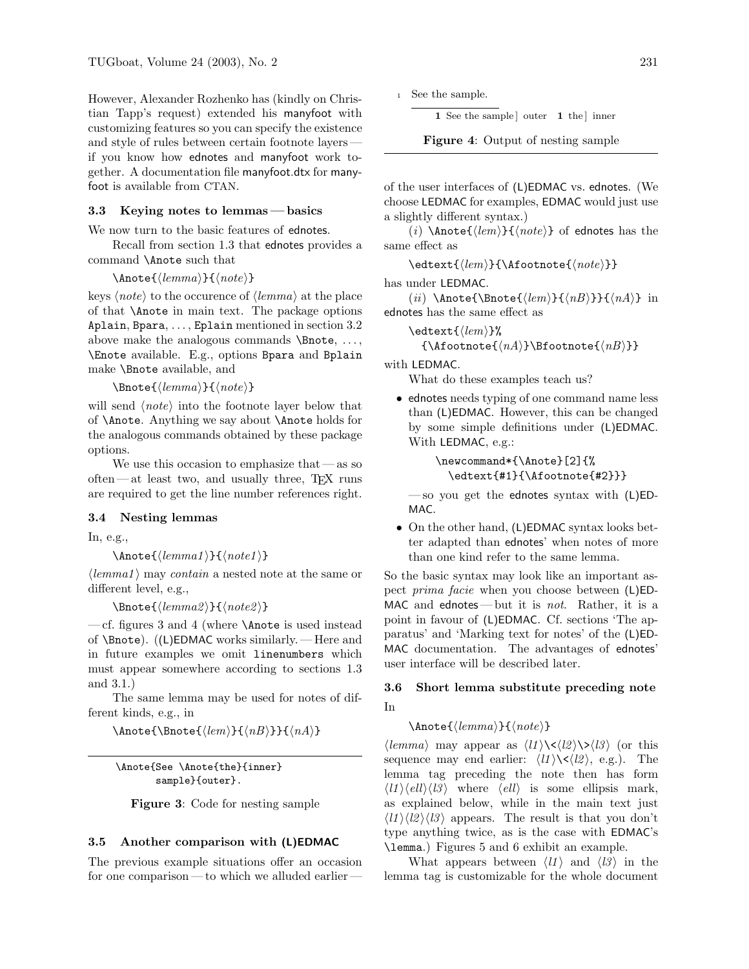However, Alexander Rozhenko has (kindly on Christian Tapp's request) extended his manyfoot with customizing features so you can specify the existence and style of rules between certain footnote layers if you know how ednotes and manyfoot work together. A documentation file manyfoot.dtx for manyfoot is available from CTAN.

# 3.3 Keying notes to lemmas— basics

We now turn to the basic features of ednotes.

Recall from section 1.3 that ednotes provides a command \Anote such that

```
\Lambdahnote{\langle lemma\rangle}{\langle note\rangle}
```
keys  $\langle note \rangle$  to the occurence of  $\langle lemma \rangle$  at the place of that \Anote in main text. The package options Aplain, Bpara, . . . , Eplain mentioned in section 3.2 above make the analogous commands  $\Delta, \ldots,$ \Enote available. E.g., options Bpara and Bplain make \Bnote available, and

 $\Lambda$ }{\mote{\lemma}}{\note}}

will send  $\langle note \rangle$  into the footnote layer below that of \Anote. Anything we say about \Anote holds for the analogous commands obtained by these package options.

We use this occasion to emphasize that  $-\text{as so}$ often—at least two, and usually three,  $T_F X$  runs are required to get the line number references right.

# 3.4 Nesting lemmas

In, e.g.,

 $\Lambda$ 1)}{\note{\lemma1}}{\note1}}

 $\langle lemma1 \rangle$  may *contain* a nested note at the same or different level, e.g.,

 $\Delta2$ }{ $\langle$ note{ $\langle$ lemma2}}{\note2}}

— cf. figures 3 and 4 (where \Anote is used instead of \Bnote). ((L)EDMAC works similarly.— Here and in future examples we omit linenumbers which must appear somewhere according to sections 1.3 and 3.1.)

The same lemma may be used for notes of different kinds, e.g., in

 $\Lambda\$  $\{\langle lem \rangle\}$ {\ande{\Bnote{\igma}}{\angle nBi \end{hmath}}}}{\angle nBi \end{hmath}

\Anote{See \Anote{the}{inner} sample}{outer}.

Figure 3: Code for nesting sample

#### 3.5 Another comparison with (L)EDMAC

The previous example situations offer an occasion for one comparison— to which we alluded earlier

1 See the sample ] outer 1 the ] inner

Figure 4: Output of nesting sample

of the user interfaces of (L)EDMAC vs. ednotes. (We choose LEDMAC for examples, EDMAC would just use a slightly different syntax.)

(*i*) \Anote{ $\langle$ lem}}{ $\langle note \rangle$ } of ednotes has the same effect as

 $\setminus{\mathsf{lem}}{\setminus{\mathsf{note}}}\}$ 

has under LEDMAC.

(*ii*) \Anote{\Bnote{ $\langle lem \rangle$ }{ $\langle nB \rangle$ }}{ $\langle nA \rangle$ } in ednotes has the same effect as

 $\text{detext}$ { $\langle$ lem}}%  ${\Lambda}\B$ footnote ${\langle nA \rangle}$ }\Bfootnote ${\langle nB \rangle}$ }

with LEDMAC.

What do these examples teach us?

• ednotes needs typing of one command name less than (L)EDMAC. However, this can be changed by some simple definitions under (L)EDMAC. With LEDMAC, e.g.:

> \newcommand\*{\Anote}[2]{% \edtext{#1}{\Afootnote{#2}}}

— so you get the ednotes syntax with  $(L)ED-$ MAC.

• On the other hand, (L)EDMAC syntax looks better adapted than ednotes' when notes of more than one kind refer to the same lemma.

So the basic syntax may look like an important aspect prima facie when you choose between (L)ED-MAC and ednotes — but it is not. Rather, it is a point in favour of (L)EDMAC. Cf. sections 'The apparatus' and 'Marking text for notes' of the (L)ED-MAC documentation. The advantages of ednotes' user interface will be described later.

# 3.6 Short lemma substitute preceding note In

### $\Lambda\$ (*lemma*)}{\*note*}}

 $\langle lemma \rangle$  may appear as  $\langle ll \rangle \langle \langle ll \rangle \rangle \langle ll \rangle$  (or this sequence may end earlier:  $\langle l1 \rangle \langle \langle l2 \rangle$ , e.g.). The lemma tag preceding the note then has form  $\langle l1 \rangle \langle ell \rangle \langle l3 \rangle$  where  $\langle ell \rangle$  is some ellipsis mark, as explained below, while in the main text just  $\langle l1\rangle\langle l2\rangle\langle l3\rangle$  appears. The result is that you don't type anything twice, as is the case with EDMAC's \lemma.) Figures 5 and 6 exhibit an example.

What appears between  $\langle l1 \rangle$  and  $\langle l3 \rangle$  in the lemma tag is customizable for the whole document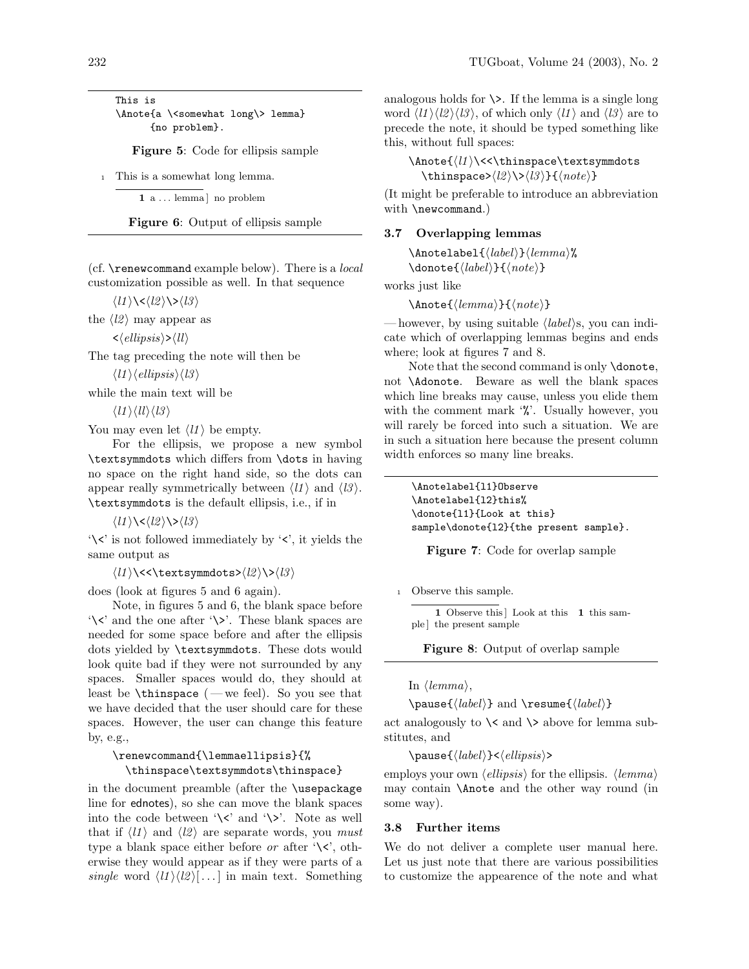This is \Anote{a \<somewhat long\> lemma} {no problem}.

Figure 5: Code for ellipsis sample

<sup>1</sup> This is a somewhat long lemma.

 $1$  a ... lemma no problem

Figure 6: Output of ellipsis sample

(cf.  $\gamma$  renew command example below). There is a *local* customization possible as well. In that sequence

 $\langle l1 \rangle \langle \langle l2 \rangle \rangle \rangle \langle l3 \rangle$ 

the  $\langle l2 \rangle$  may appear as

 $\langle$ ellipsis $\rangle$ > $\langle$ ll $\rangle$ 

The tag preceding the note will then be

 $\langle l1 \rangle \langle ellipsis \rangle \langle l3 \rangle$ 

while the main text will be

 $\langle l1 \rangle \langle l l \rangle \langle l3 \rangle$ 

You may even let  $\langle l1 \rangle$  be empty.

For the ellipsis, we propose a new symbol \textsymmdots which differs from \dots in having no space on the right hand side, so the dots can appear really symmetrically between  $\langle l1 \rangle$  and  $\langle l3 \rangle$ . \textsymmdots is the default ellipsis, i.e., if in

 $\langle l1 \rangle \langle \langle l2 \rangle \rangle \rangle \langle l3 \rangle$ 

'\<' is not followed immediately by '<', it yields the same output as

 $\langle l1 \rangle$  \<<\textsymmdots> $\langle l2 \rangle$  \> $\langle l3 \rangle$ 

does (look at figures 5 and 6 again).

Note, in figures 5 and 6, the blank space before  $\forall \langle \rangle$  and the one after  $\langle \rangle$ . These blank spaces are needed for some space before and after the ellipsis dots yielded by \textsymmdots. These dots would look quite bad if they were not surrounded by any spaces. Smaller spaces would do, they should at least be  $\theta$  — we feel). So you see that we have decided that the user should care for these spaces. However, the user can change this feature by, e.g.,

# \renewcommand{\lemmaellipsis}{% \thinspace\textsymmdots\thinspace}

in the document preamble (after the \usepackage line for ednotes), so she can move the blank spaces into the code between  $\forall$  \cldots' and  $\forall$  >'. Note as well that if  $\langle l1 \rangle$  and  $\langle l2 \rangle$  are separate words, you must type a blank space either before *or* after  $\forall \langle \rangle$ , otherwise they would appear as if they were parts of a single word  $\langle l1 \rangle \langle l2 \rangle$ [...] in main text. Something analogous holds for  $\&$ . If the lemma is a single long word  $\langle l1 \rangle \langle l2 \rangle \langle l3 \rangle$ , of which only  $\langle l1 \rangle$  and  $\langle l3 \rangle$  are to precede the note, it should be typed something like this, without full spaces:

 $\Lambda_{ll} \times \t{ll} \times \text{symmdots}$ \thinspace> $\langle l2 \rangle\$ < $\langle l3 \rangle$ }{ $\langle note \rangle$ }

(It might be preferable to introduce an abbreviation with **\newcommand.**)

# 3.7 Overlapping lemmas

 $\Lambda\$  $\delta_{label}\$ {\donote{\label}}{\note}}

works just like

 $\Lambda$ hnote ${\langle lemma\rangle}{\langle note\rangle}$ 

— however, by using suitable  $\langle label \rangle$ s, you can indicate which of overlapping lemmas begins and ends where; look at figures 7 and 8.

Note that the second command is only \donote, not \Adonote. Beware as well the blank spaces which line breaks may cause, unless you elide them with the comment mark  $\mathcal{C}'$ . Usually however, you will rarely be forced into such a situation. We are in such a situation here because the present column width enforces so many line breaks.

\Anotelabel{l1}Observe \Anotelabel{l2}this% \donote{l1}{Look at this} sample\donote{l2}{the present sample}.

Figure 7: Code for overlap sample

<sup>1</sup> Observe this sample.

1 Observe this | Look at this 1 this sample ] the present sample

Figure 8: Output of overlap sample

In  $\langle lemma \rangle$ ,

\pause{ $\langle \label{label} \langle \rangle \rangle$ } and \resume{ $\langle \hspace{0.08cm} \langle \hspace{0.08cm} \rangle \rangle$ }

act analogously to  $\<$  and  $\>$  above for lemma substitutes, and

 $\text{Q}_\{\text{label}\}\langle\text{ellipsis}\rangle$ 

employs your own  $\langle ellipsis \rangle$  for the ellipsis.  $\langle lemma \rangle$ may contain \Anote and the other way round (in some way).

# 3.8 Further items

We do not deliver a complete user manual here. Let us just note that there are various possibilities to customize the appearence of the note and what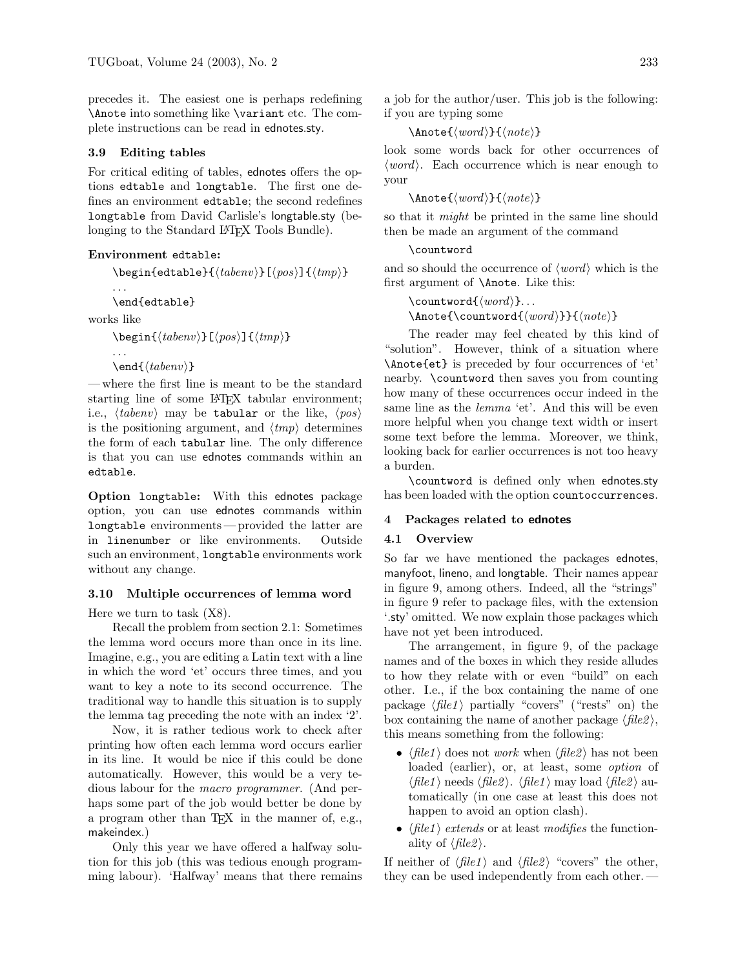precedes it. The easiest one is perhaps redefining \Anote into something like \variant etc. The complete instructions can be read in ednotes.sty.

#### 3.9 Editing tables

For critical editing of tables, ednotes offers the options edtable and longtable. The first one defines an environment edtable; the second redefines longtable from David Carlisle's longtable.sty (belonging to the Standard LATEX Tools Bundle).

# Environment edtable:

 $\begin{equation*}$  \begin{edtable}{ $\langle \text{table}|\{\langle \text{pos}\rangle\}|\{\langle \text{tmp}\rangle\} \rangle$ . . .

```
\end{edtable}
```
works like

. . .

 $\begin{equation*}[\langle \text{table}|\rangle]\equiv[\langle \text{type}\rangle]\equiv[\langle \text{tmp}\rangle]\equiv[\langle \text{type}\rangle]\equiv[\langle \text{type}\rangle]\equiv[\langle \text{type}\rangle]\equiv[\langle \text{type}\rangle]\equiv[\langle \text{type}\rangle]\equiv[\langle \text{type}\rangle]\equiv[\langle \text{type}\rangle]\equiv[\langle \text{type}\rangle]\equiv[\langle \text{type}\rangle]\equiv[\langle \text{type}\rangle]\equiv[\langle \text{type}\rangle]\equiv[\langle \text{type}\rangle]\equiv[\langle \text{type}\rangle]\equiv[\langle \text{type}\rangle]\equiv[\langle \text{type}\rangle]\equiv[\langle \text{type}\rangle]\equiv[\langle \text{type}\rangle]\equiv[\langle \text{type}\rangle]\equiv[\langle$ 

 $\end{math}$ 

— where the first line is meant to be the standard starting line of some LAT<sub>EX</sub> tabular environment; i.e.,  $\langle \text{tabenv} \rangle$  may be tabular or the like,  $\langle \text{pos} \rangle$ is the positioning argument, and  $\langle tmp \rangle$  determines the form of each tabular line. The only difference is that you can use ednotes commands within an edtable.

Option longtable: With this ednotes package option, you can use ednotes commands within longtable environments — provided the latter are in linenumber or like environments. Outside such an environment, longtable environments work without any change.

#### 3.10 Multiple occurrences of lemma word

Here we turn to task (X8).

Recall the problem from section 2.1: Sometimes the lemma word occurs more than once in its line. Imagine, e.g., you are editing a Latin text with a line in which the word 'et' occurs three times, and you want to key a note to its second occurrence. The traditional way to handle this situation is to supply the lemma tag preceding the note with an index '2'.

Now, it is rather tedious work to check after printing how often each lemma word occurs earlier in its line. It would be nice if this could be done automatically. However, this would be a very tedious labour for the macro programmer. (And perhaps some part of the job would better be done by a program other than TEX in the manner of, e.g., makeindex.)

Only this year we have offered a halfway solution for this job (this was tedious enough programming labour). 'Halfway' means that there remains  $\Lambda$ hnote $\{word\}$ } $\{note\}$ 

look some words back for other occurrences of  $\langle word \rangle$ . Each occurrence which is near enough to your

 $\Lambda$ note $\{\langle word \rangle\}$  $\{\langle note \rangle\}$ 

so that it *might* be printed in the same line should then be made an argument of the command

### \countword

if you are typing some

and so should the occurrence of  $\langle word \rangle$  which is the first argument of \Anote. Like this:

```
\countword\{word\}...
\Lambda_{word}\}}{\note{\countword{\uord}}}{\note}}
```
The reader may feel cheated by this kind of "solution". However, think of a situation where \Anote{et} is preceded by four occurrences of 'et' nearby. \countword then saves you from counting how many of these occurrences occur indeed in the same line as the *lemma* 'et'. And this will be even more helpful when you change text width or insert some text before the lemma. Moreover, we think, looking back for earlier occurrences is not too heavy a burden.

\countword is defined only when ednotes.sty has been loaded with the option countoccurrences.

### 4 Packages related to ednotes

# 4.1 Overview

So far we have mentioned the packages ednotes, manyfoot, lineno, and longtable. Their names appear in figure 9, among others. Indeed, all the "strings" in figure 9 refer to package files, with the extension '.sty' omitted. We now explain those packages which have not yet been introduced.

The arrangement, in figure 9, of the package names and of the boxes in which they reside alludes to how they relate with or even "build" on each other. I.e., if the box containing the name of one package  $\langle file1 \rangle$  partially "covers" ("rests" on) the box containing the name of another package  $\langle file2 \rangle$ , this means something from the following:

- $\langle file1 \rangle$  does not *work* when  $\langle file2 \rangle$  has not been loaded (earlier), or, at least, some option of  $\langle file1 \rangle$  needs  $\langle file2 \rangle$ .  $\langle file1 \rangle$  may load  $\langle file2 \rangle$  automatically (in one case at least this does not happen to avoid an option clash).
- $\langle file1 \rangle$  extends or at least modifies the functionality of  $\langle file2 \rangle$ .

If neither of  $\langle file1 \rangle$  and  $\langle file2 \rangle$  "covers" the other, they can be used independently from each other.—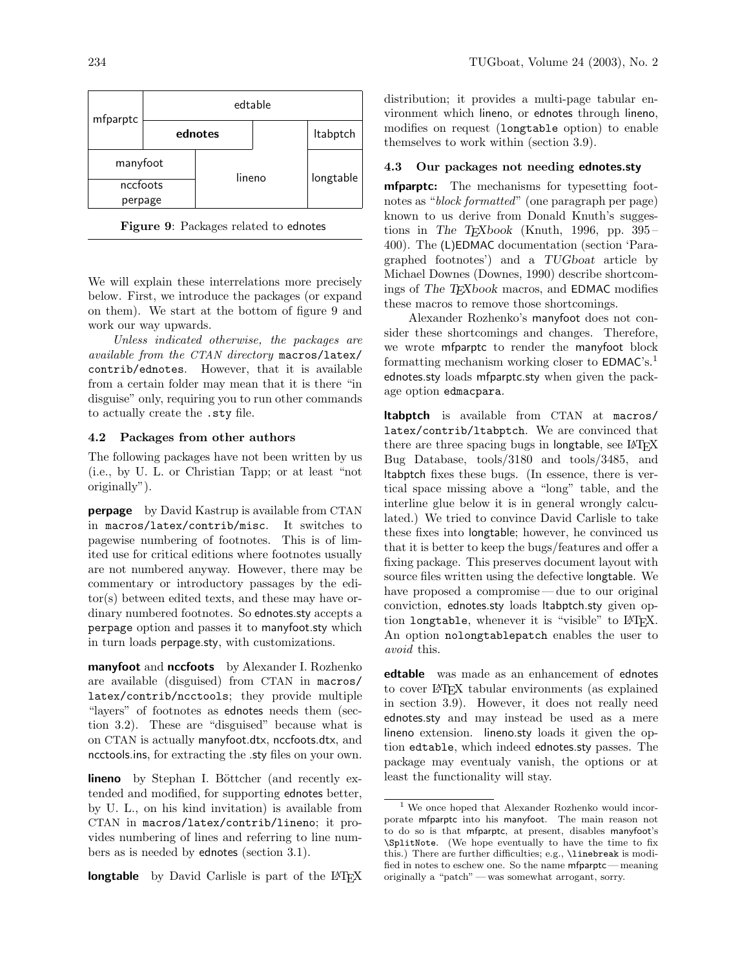

Figure 9: Packages related to ednotes

We will explain these interrelations more precisely below. First, we introduce the packages (or expand on them). We start at the bottom of figure 9 and work our way upwards.

Unless indicated otherwise, the packages are available from the CTAN directory macros/latex/ contrib/ednotes. However, that it is available from a certain folder may mean that it is there "in disguise" only, requiring you to run other commands to actually create the .sty file.

### 4.2 Packages from other authors

The following packages have not been written by us (i.e., by U. L. or Christian Tapp; or at least "not originally").

perpage by David Kastrup is available from CTAN in macros/latex/contrib/misc. It switches to pagewise numbering of footnotes. This is of limited use for critical editions where footnotes usually are not numbered anyway. However, there may be commentary or introductory passages by the editor(s) between edited texts, and these may have ordinary numbered footnotes. So ednotes.sty accepts a perpage option and passes it to manyfoot.sty which in turn loads perpage.sty, with customizations.

manyfoot and nccfoots by Alexander I. Rozhenko are available (disguised) from CTAN in macros/ latex/contrib/ncctools; they provide multiple "layers" of footnotes as ednotes needs them (section 3.2). These are "disguised" because what is on CTAN is actually manyfoot.dtx, nccfoots.dtx, and ncctools.ins, for extracting the .sty files on your own.

lineno by Stephan I. Böttcher (and recently extended and modified, for supporting ednotes better, by U. L., on his kind invitation) is available from CTAN in macros/latex/contrib/lineno; it provides numbering of lines and referring to line numbers as is needed by ednotes (section 3.1).

longtable by David Carlisle is part of the L<sup>AT</sup>EX

distribution; it provides a multi-page tabular environment which lineno, or ednotes through lineno, modifies on request (longtable option) to enable themselves to work within (section 3.9).

# 4.3 Our packages not needing ednotes.sty

**mfparptc:** The mechanisms for typesetting footnotes as "block formatted" (one paragraph per page) known to us derive from Donald Knuth's suggestions in The T<sub>E</sub>Xbook (Knuth, 1996, pp. 395 – 400). The (L)EDMAC documentation (section 'Paragraphed footnotes') and a TUGboat article by Michael Downes (Downes, 1990) describe shortcomings of The TEXbook macros, and EDMAC modifies these macros to remove those shortcomings.

Alexander Rozhenko's manyfoot does not consider these shortcomings and changes. Therefore, we wrote mfparptc to render the manyfoot block formatting mechanism working closer to  $EDMAC's.<sup>1</sup>$ ednotes.sty loads mfparptc.sty when given the package option edmacpara.

ltabptch is available from CTAN at macros/ latex/contrib/ltabptch. We are convinced that there are three spacing bugs in longtable, see LATFX Bug Database, tools/3180 and tools/3485, and ltabptch fixes these bugs. (In essence, there is vertical space missing above a "long" table, and the interline glue below it is in general wrongly calculated.) We tried to convince David Carlisle to take these fixes into longtable; however, he convinced us that it is better to keep the bugs/features and offer a fixing package. This preserves document layout with source files written using the defective longtable. We have proposed a compromise—due to our original conviction, ednotes.sty loads ltabptch.sty given option longtable, whenever it is "visible" to LATFX. An option nolongtablepatch enables the user to avoid this.

**edtable** was made as an enhancement of ednotes to cover LATEX tabular environments (as explained in section 3.9). However, it does not really need ednotes.sty and may instead be used as a mere lineno extension. lineno.sty loads it given the option edtable, which indeed ednotes.sty passes. The package may eventualy vanish, the options or at least the functionality will stay.

<sup>1</sup> We once hoped that Alexander Rozhenko would incorporate mfparptc into his manyfoot. The main reason not to do so is that mfparptc, at present, disables manyfoot's \SplitNote. (We hope eventually to have the time to fix this.) There are further difficulties; e.g., \linebreak is modified in notes to eschew one. So the name mfparptc — meaning originally a "patch" — was somewhat arrogant, sorry.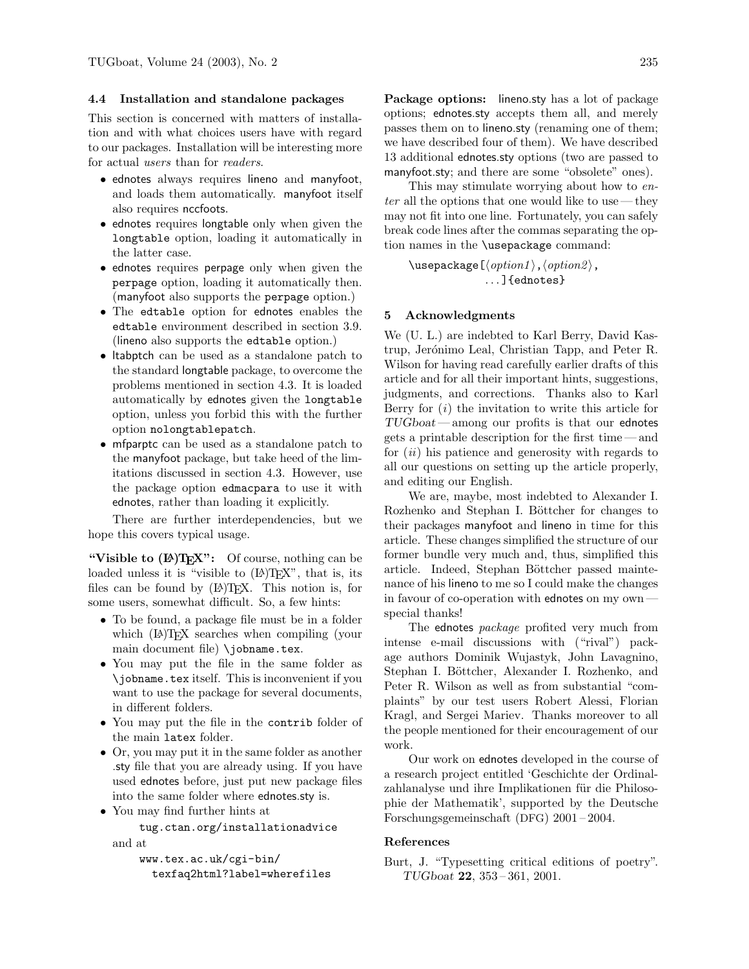# 4.4 Installation and standalone packages

This section is concerned with matters of installation and with what choices users have with regard to our packages. Installation will be interesting more for actual users than for readers.

- ednotes always requires lineno and manyfoot, and loads them automatically. manyfoot itself also requires nccfoots.
- ednotes requires longtable only when given the longtable option, loading it automatically in the latter case.
- ednotes requires perpage only when given the perpage option, loading it automatically then. (manyfoot also supports the perpage option.)
- The edtable option for ednotes enables the edtable environment described in section 3.9. (lineno also supports the edtable option.)
- ltabptch can be used as a standalone patch to the standard longtable package, to overcome the problems mentioned in section 4.3. It is loaded automatically by ednotes given the longtable option, unless you forbid this with the further option nolongtablepatch.
- mfparptc can be used as a standalone patch to the manyfoot package, but take heed of the limitations discussed in section 4.3. However, use the package option edmacpara to use it with ednotes, rather than loading it explicitly.

There are further interdependencies, but we hope this covers typical usage.

"Visible to  $(\mathbb{A})$ T<sub>F</sub>X": Of course, nothing can be loaded unless it is "visible to  $(L)$ <sup>T</sup>EX", that is, its files can be found by  $(L)$ <sup>T</sup>FX. This notion is, for some users, somewhat difficult. So, a few hints:

- To be found, a package file must be in a folder which (LA)T<sub>F</sub>X searches when compiling (your main document file) \jobname.tex.
- You may put the file in the same folder as \jobname.tex itself. This is inconvenient if you want to use the package for several documents, in different folders.
- You may put the file in the contribulation of the main latex folder.
- Or, you may put it in the same folder as another .sty file that you are already using. If you have used ednotes before, just put new package files into the same folder where ednotes.sty is.
- You may find further hints at

tug.ctan.org/installationadvice and at

```
www.tex.ac.uk/cgi-bin/
  texfaq2html?label=wherefiles
```
Package options: lineno.sty has a lot of package options; ednotes.sty accepts them all, and merely passes them on to lineno.sty (renaming one of them; we have described four of them). We have described 13 additional ednotes.sty options (two are passed to manyfoot.sty; and there are some "obsolete" ones).

This may stimulate worrying about how to en $ter$  all the options that one would like to use — they may not fit into one line. Fortunately, you can safely break code lines after the commas separating the option names in the \usepackage command:

 $\text{Usepackage}[\langle option1 \rangle, \langle option2 \rangle]$ . . . ]{ednotes}

# 5 Acknowledgments

We (U. L.) are indebted to Karl Berry, David Kastrup, Jerónimo Leal, Christian Tapp, and Peter R. Wilson for having read carefully earlier drafts of this article and for all their important hints, suggestions, judgments, and corrections. Thanks also to Karl Berry for  $(i)$  the invitation to write this article for  $TUGboat$ — among our profits is that our ednotes gets a printable description for the first time — and for  $(ii)$  his patience and generosity with regards to all our questions on setting up the article properly, and editing our English.

We are, maybe, most indebted to Alexander I. Rozhenko and Stephan I. Böttcher for changes to their packages manyfoot and lineno in time for this article. These changes simplified the structure of our former bundle very much and, thus, simplified this article. Indeed, Stephan Böttcher passed maintenance of his lineno to me so I could make the changes in favour of co-operation with ednotes on my own special thanks!

The ednotes *package* profited very much from intense e-mail discussions with ("rival") package authors Dominik Wujastyk, John Lavagnino, Stephan I. Böttcher, Alexander I. Rozhenko, and Peter R. Wilson as well as from substantial "complaints" by our test users Robert Alessi, Florian Kragl, and Sergei Mariev. Thanks moreover to all the people mentioned for their encouragement of our work.

Our work on ednotes developed in the course of a research project entitled 'Geschichte der Ordinalzahlanalyse und ihre Implikationen für die Philosophie der Mathematik', supported by the Deutsche Forschungsgemeinschaft (DFG) 2001 – 2004.

### References

Burt, J. "Typesetting critical editions of poetry". TUGboat 22, 353 – 361, 2001.